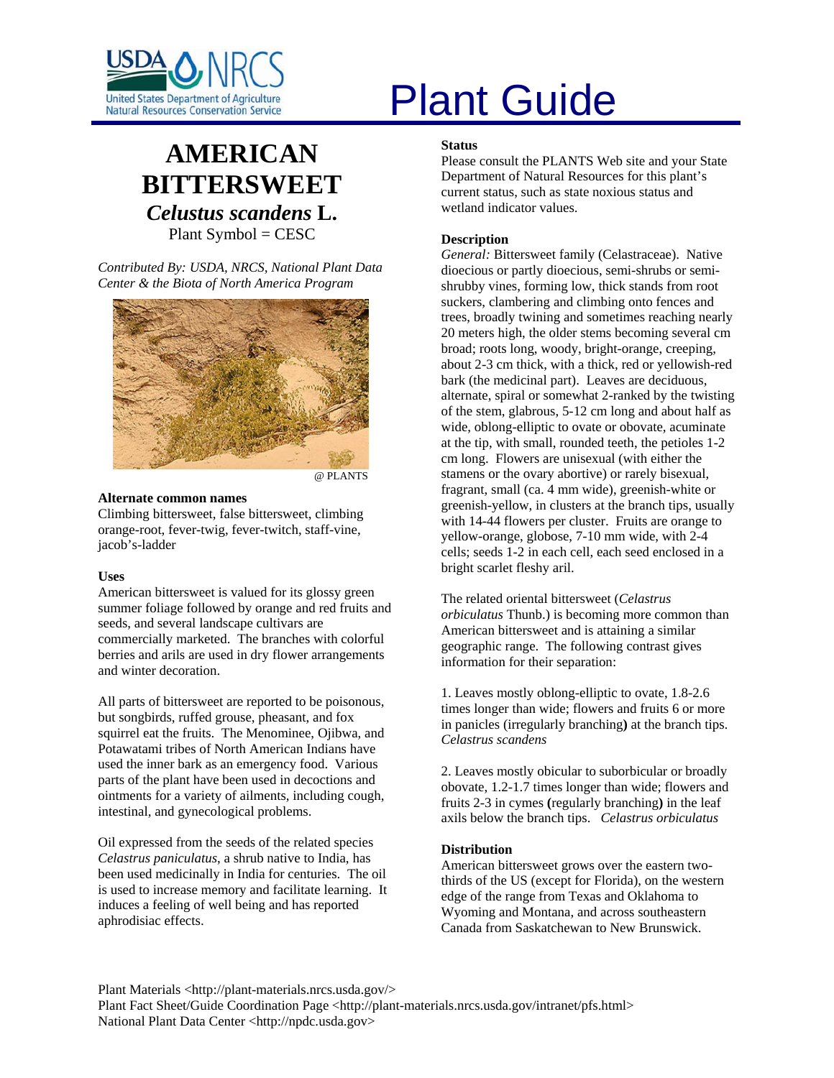

# **AMERICAN BITTERSWEET** *Celustus scandens* **L.** Plant Symbol = CESC

*Contributed By: USDA, NRCS, National Plant Data Center & the Biota of North America Program* 



@ PLANTS

#### **Alternate common names**

Climbing bittersweet, false bittersweet, climbing orange-root, fever-twig, fever-twitch, staff-vine, jacob's-ladder

#### **Uses**

American bittersweet is valued for its glossy green summer foliage followed by orange and red fruits and seeds, and several landscape cultivars are commercially marketed. The branches with colorful berries and arils are used in dry flower arrangements and winter decoration.

All parts of bittersweet are reported to be poisonous, but songbirds, ruffed grouse, pheasant, and fox squirrel eat the fruits. The Menominee, Ojibwa, and Potawatami tribes of North American Indians have used the inner bark as an emergency food. Various parts of the plant have been used in decoctions and ointments for a variety of ailments, including cough, intestinal, and gynecological problems.

Oil expressed from the seeds of the related species *Celastrus paniculatus*, a shrub native to India, has been used medicinally in India for centuries. The oil is used to increase memory and facilitate learning. It induces a feeling of well being and has reported aphrodisiac effects.

# United States Department of Agriculture<br>Natural Resources Conservation Service

#### **Status**

Please consult the PLANTS Web site and your State Department of Natural Resources for this plant's current status, such as state noxious status and wetland indicator values.

# **Description**

*General:* Bittersweet family (Celastraceae). Native dioecious or partly dioecious, semi-shrubs or semishrubby vines, forming low, thick stands from root suckers, clambering and climbing onto fences and trees, broadly twining and sometimes reaching nearly 20 meters high, the older stems becoming several cm broad; roots long, woody, bright-orange, creeping, about 2-3 cm thick, with a thick, red or yellowish-red bark (the medicinal part). Leaves are deciduous, alternate, spiral or somewhat 2-ranked by the twisting of the stem, glabrous, 5-12 cm long and about half as wide, oblong-elliptic to ovate or obovate, acuminate at the tip, with small, rounded teeth, the petioles 1-2 cm long. Flowers are unisexual (with either the stamens or the ovary abortive) or rarely bisexual, fragrant, small (ca. 4 mm wide), greenish-white or greenish-yellow, in clusters at the branch tips, usually with 14-44 flowers per cluster. Fruits are orange to yellow-orange, globose, 7-10 mm wide, with 2-4 cells; seeds 1-2 in each cell, each seed enclosed in a bright scarlet fleshy aril.

The related oriental bittersweet (*Celastrus orbiculatus* Thunb.) is becoming more common than American bittersweet and is attaining a similar geographic range. The following contrast gives information for their separation:

1. Leaves mostly oblong-elliptic to ovate, 1.8-2.6 times longer than wide; flowers and fruits 6 or more in panicles (irregularly branching**)** at the branch tips. *Celastrus scandens*

2. Leaves mostly obicular to suborbicular or broadly obovate, 1.2-1.7 times longer than wide; flowers and fruits 2-3 in cymes **(**regularly branching**)** in the leaf axils below the branch tips. *Celastrus orbiculatus*

## **Distribution**

American bittersweet grows over the eastern twothirds of the US (except for Florida), on the western edge of the range from Texas and Oklahoma to Wyoming and Montana, and across southeastern Canada from Saskatchewan to New Brunswick.

Plant Materials <http://plant-materials.nrcs.usda.gov/> Plant Fact Sheet/Guide Coordination Page <http://plant-materials.nrcs.usda.gov/intranet/pfs.html> National Plant Data Center <http://npdc.usda.gov>